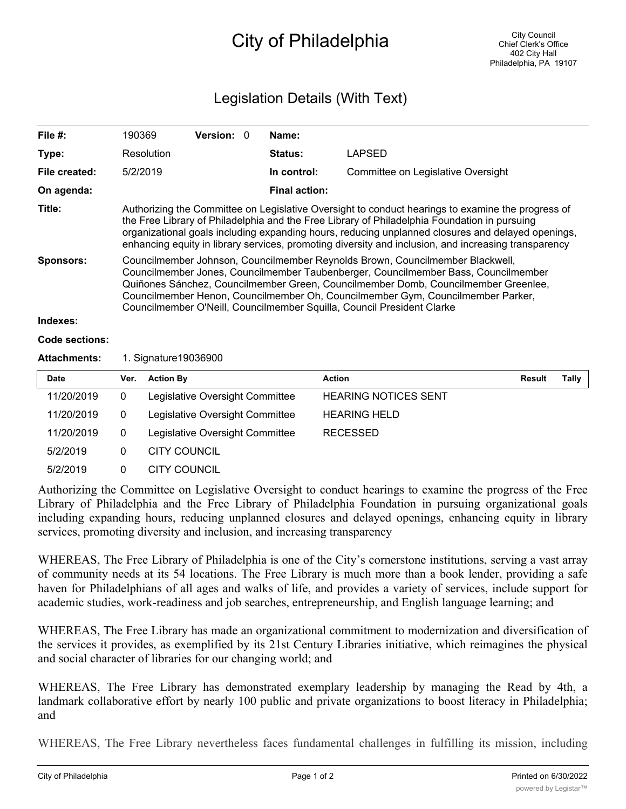## City of Philadelphia

## Legislation Details (With Text)

| File $#$ :            | 190369                                                                                                                                                                                                                                                                                                                                                                                                                 | <b>Version: 0</b> |                        | Name:                |                                    |               |       |  |  |
|-----------------------|------------------------------------------------------------------------------------------------------------------------------------------------------------------------------------------------------------------------------------------------------------------------------------------------------------------------------------------------------------------------------------------------------------------------|-------------------|------------------------|----------------------|------------------------------------|---------------|-------|--|--|
| Type:                 | Resolution                                                                                                                                                                                                                                                                                                                                                                                                             |                   |                        | Status:              | <b>LAPSED</b>                      |               |       |  |  |
| File created:         | 5/2/2019                                                                                                                                                                                                                                                                                                                                                                                                               |                   |                        | In control:          | Committee on Legislative Oversight |               |       |  |  |
| On agenda:            |                                                                                                                                                                                                                                                                                                                                                                                                                        |                   |                        | <b>Final action:</b> |                                    |               |       |  |  |
| Title:                | Authorizing the Committee on Legislative Oversight to conduct hearings to examine the progress of<br>the Free Library of Philadelphia and the Free Library of Philadelphia Foundation in pursuing<br>organizational goals including expanding hours, reducing unplanned closures and delayed openings,<br>enhancing equity in library services, promoting diversity and inclusion, and increasing transparency         |                   |                        |                      |                                    |               |       |  |  |
| <b>Sponsors:</b>      | Councilmember Johnson, Councilmember Reynolds Brown, Councilmember Blackwell,<br>Councilmember Jones, Councilmember Taubenberger, Councilmember Bass, Councilmember<br>Quiñones Sánchez, Councilmember Green, Councilmember Domb, Councilmember Greenlee,<br>Councilmember Henon, Councilmember Oh, Councilmember Gym, Councilmember Parker,<br>Councilmember O'Neill, Councilmember Squilla, Council President Clarke |                   |                        |                      |                                    |               |       |  |  |
| Indexes:              |                                                                                                                                                                                                                                                                                                                                                                                                                        |                   |                        |                      |                                    |               |       |  |  |
| <b>Code sections:</b> |                                                                                                                                                                                                                                                                                                                                                                                                                        |                   |                        |                      |                                    |               |       |  |  |
| <b>Attachments:</b>   | 1. Signature 19036900                                                                                                                                                                                                                                                                                                                                                                                                  |                   |                        |                      |                                    |               |       |  |  |
| <b>Date</b>           | <b>Action By</b><br>Ver.                                                                                                                                                                                                                                                                                                                                                                                               |                   |                        | <b>Action</b>        |                                    | <b>Result</b> | Tally |  |  |
| 110010010             | $\mathbf{r}$ , $\mathbf{r}$ , $\mathbf{r}$ , $\mathbf{r}$                                                                                                                                                                                                                                                                                                                                                              |                   | $\cdot$ $\cdot$ $\sim$ |                      |                                    |               |       |  |  |

| ----       |   | $\cdots$ $\cdots$               | , , , , , , ,               | . | . |
|------------|---|---------------------------------|-----------------------------|---|---|
| 11/20/2019 | 0 | Legislative Oversight Committee | <b>HEARING NOTICES SENT</b> |   |   |
| 11/20/2019 | 0 | Legislative Oversight Committee | <b>HEARING HELD</b>         |   |   |
| 11/20/2019 | 0 | Legislative Oversight Committee | RECESSED                    |   |   |
| 5/2/2019   | 0 | CITY COUNCIL                    |                             |   |   |
| 5/2/2019   | 0 | CITY COUNCIL                    |                             |   |   |

Authorizing the Committee on Legislative Oversight to conduct hearings to examine the progress of the Free Library of Philadelphia and the Free Library of Philadelphia Foundation in pursuing organizational goals including expanding hours, reducing unplanned closures and delayed openings, enhancing equity in library services, promoting diversity and inclusion, and increasing transparency

WHEREAS, The Free Library of Philadelphia is one of the City's cornerstone institutions, serving a vast array of community needs at its 54 locations. The Free Library is much more than a book lender, providing a safe haven for Philadelphians of all ages and walks of life, and provides a variety of services, include support for academic studies, work-readiness and job searches, entrepreneurship, and English language learning; and

WHEREAS, The Free Library has made an organizational commitment to modernization and diversification of the services it provides, as exemplified by its 21st Century Libraries initiative, which reimagines the physical and social character of libraries for our changing world; and

WHEREAS, The Free Library has demonstrated exemplary leadership by managing the Read by 4th, a landmark collaborative effort by nearly 100 public and private organizations to boost literacy in Philadelphia; and

WHEREAS, The Free Library nevertheless faces fundamental challenges in fulfilling its mission, including